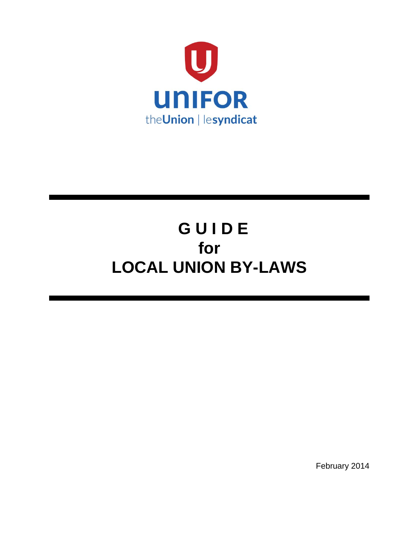

# **G U I D E for LOCAL UNION BY-LAWS**

February 2014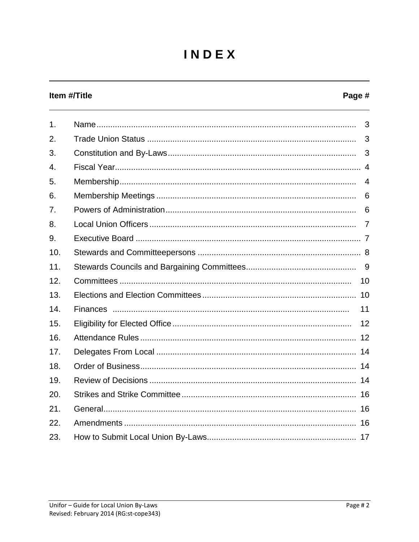## INDEX

#### Item #/Title

#### Page #

| 1 <sub>1</sub> | 3              |
|----------------|----------------|
| 2.             | 3              |
| 3.             | 3              |
| 4.             |                |
| 5.             | $\overline{4}$ |
| 6.             | 6              |
| 7.             | 6              |
| 8.             |                |
| 9.             |                |
| 10.            |                |
| 11.            |                |
| 12.            |                |
| 13.            |                |
| 14.            | 11             |
| 15.            | 12             |
| 16.            |                |
| 17.            |                |
| 18.            |                |
| 19.            |                |
| 20.            |                |
| 21.            |                |
| 22.            |                |
| 23.            |                |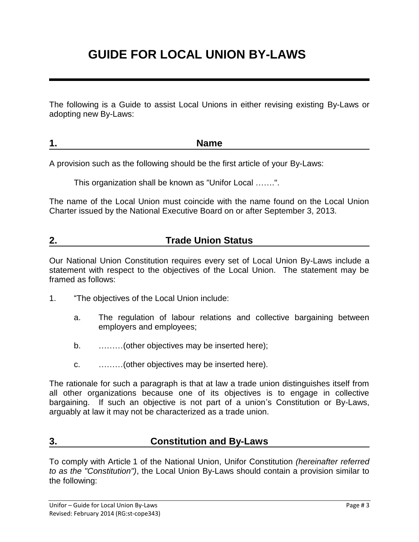## **GUIDE FOR LOCAL UNION BY-LAWS**

The following is a Guide to assist Local Unions in either revising existing By-Laws or adopting new By-Laws:

| <b>TRAILIC</b><br>. . |
|-----------------------|
|-----------------------|

A provision such as the following should be the first article of your By-Laws:

This organization shall be known as "Unifor Local …….".

The name of the Local Union must coincide with the name found on the Local Union Charter issued by the National Executive Board on or after September 3, 2013.

#### **2. Trade Union Status**

Our National Union Constitution requires every set of Local Union By-Laws include a statement with respect to the objectives of the Local Union. The statement may be framed as follows:

- 1. "The objectives of the Local Union include:
	- a. The regulation of labour relations and collective bargaining between employers and employees;
	- b. ………(other objectives may be inserted here);
	- c. ………(other objectives may be inserted here).

The rationale for such a paragraph is that at law a trade union distinguishes itself from all other organizations because one of its objectives is to engage in collective bargaining. If such an objective is not part of a union's Constitution or By-Laws, arguably at law it may not be characterized as a trade union.

#### **3. Constitution and By-Laws**

To comply with Article 1 of the National Union, Unifor Constitution *(hereinafter referred to as the "Constitution")*, the Local Union By-Laws should contain a provision similar to the following: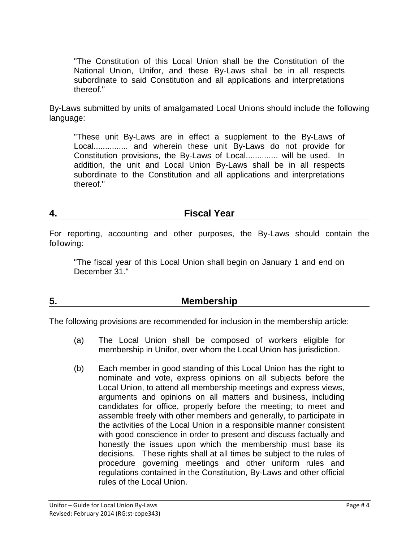"The Constitution of this Local Union shall be the Constitution of the National Union, Unifor, and these By-Laws shall be in all respects subordinate to said Constitution and all applications and interpretations thereof."

By-Laws submitted by units of amalgamated Local Unions should include the following language:

"These unit By-Laws are in effect a supplement to the By-Laws of Local............... and wherein these unit By-Laws do not provide for Constitution provisions, the By-Laws of Local.............. will be used. In addition, the unit and Local Union By-Laws shall be in all respects subordinate to the Constitution and all applications and interpretations thereof."

#### **4. Fiscal Year**

For reporting, accounting and other purposes, the By-Laws should contain the following:

"The fiscal year of this Local Union shall begin on January 1 and end on December 31."

### **5. Membership**

The following provisions are recommended for inclusion in the membership article:

- (a) The Local Union shall be composed of workers eligible for membership in Unifor, over whom the Local Union has jurisdiction.
- (b) Each member in good standing of this Local Union has the right to nominate and vote, express opinions on all subjects before the Local Union, to attend all membership meetings and express views, arguments and opinions on all matters and business, including candidates for office, properly before the meeting; to meet and assemble freely with other members and generally, to participate in the activities of the Local Union in a responsible manner consistent with good conscience in order to present and discuss factually and honestly the issues upon which the membership must base its decisions. These rights shall at all times be subject to the rules of procedure governing meetings and other uniform rules and regulations contained in the Constitution, By-Laws and other official rules of the Local Union.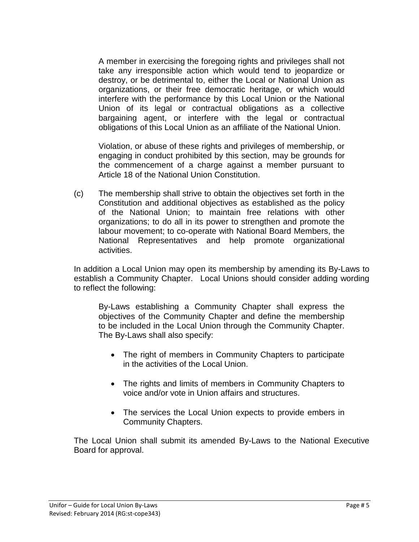A member in exercising the foregoing rights and privileges shall not take any irresponsible action which would tend to jeopardize or destroy, or be detrimental to, either the Local or National Union as organizations, or their free democratic heritage, or which would interfere with the performance by this Local Union or the National Union of its legal or contractual obligations as a collective bargaining agent, or interfere with the legal or contractual obligations of this Local Union as an affiliate of the National Union.

Violation, or abuse of these rights and privileges of membership, or engaging in conduct prohibited by this section, may be grounds for the commencement of a charge against a member pursuant to Article 18 of the National Union Constitution.

(c) The membership shall strive to obtain the objectives set forth in the Constitution and additional objectives as established as the policy of the National Union; to maintain free relations with other organizations; to do all in its power to strengthen and promote the labour movement; to co-operate with National Board Members, the National Representatives and help promote organizational activities.

In addition a Local Union may open its membership by amending its By-Laws to establish a Community Chapter. Local Unions should consider adding wording to reflect the following:

By-Laws establishing a Community Chapter shall express the objectives of the Community Chapter and define the membership to be included in the Local Union through the Community Chapter. The By-Laws shall also specify:

- The right of members in Community Chapters to participate in the activities of the Local Union.
- The rights and limits of members in Community Chapters to voice and/or vote in Union affairs and structures.
- The services the Local Union expects to provide embers in Community Chapters.

The Local Union shall submit its amended By-Laws to the National Executive Board for approval.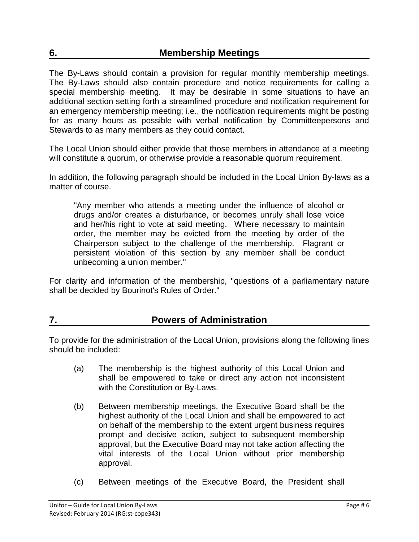The By-Laws should contain a provision for regular monthly membership meetings. The By-Laws should also contain procedure and notice requirements for calling a special membership meeting. It may be desirable in some situations to have an additional section setting forth a streamlined procedure and notification requirement for an emergency membership meeting; i.e., the notification requirements might be posting for as many hours as possible with verbal notification by Committeepersons and Stewards to as many members as they could contact.

The Local Union should either provide that those members in attendance at a meeting will constitute a quorum, or otherwise provide a reasonable quorum requirement.

In addition, the following paragraph should be included in the Local Union By-laws as a matter of course.

"Any member who attends a meeting under the influence of alcohol or drugs and/or creates a disturbance, or becomes unruly shall lose voice and her/his right to vote at said meeting. Where necessary to maintain order, the member may be evicted from the meeting by order of the Chairperson subject to the challenge of the membership. Flagrant or persistent violation of this section by any member shall be conduct unbecoming a union member."

For clarity and information of the membership, "questions of a parliamentary nature shall be decided by Bourinot's Rules of Order."

#### **7. Powers of Administration**

To provide for the administration of the Local Union, provisions along the following lines should be included:

- (a) The membership is the highest authority of this Local Union and shall be empowered to take or direct any action not inconsistent with the Constitution or By-Laws.
- (b) Between membership meetings, the Executive Board shall be the highest authority of the Local Union and shall be empowered to act on behalf of the membership to the extent urgent business requires prompt and decisive action, subject to subsequent membership approval, but the Executive Board may not take action affecting the vital interests of the Local Union without prior membership approval.
- (c) Between meetings of the Executive Board, the President shall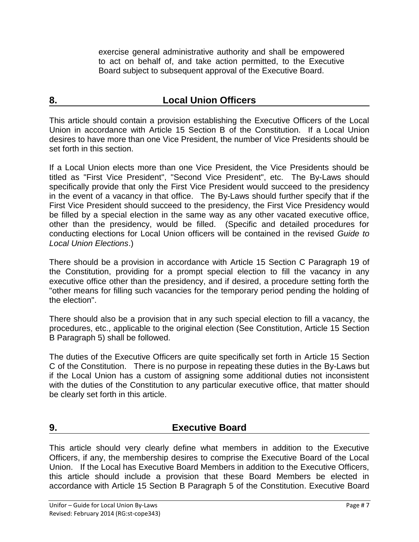exercise general administrative authority and shall be empowered to act on behalf of, and take action permitted, to the Executive Board subject to subsequent approval of the Executive Board.

#### **8. Local Union Officers**

This article should contain a provision establishing the Executive Officers of the Local Union in accordance with Article 15 Section B of the Constitution. If a Local Union desires to have more than one Vice President, the number of Vice Presidents should be set forth in this section.

If a Local Union elects more than one Vice President, the Vice Presidents should be titled as "First Vice President", "Second Vice President", etc. The By-Laws should specifically provide that only the First Vice President would succeed to the presidency in the event of a vacancy in that office. The By-Laws should further specify that if the First Vice President should succeed to the presidency, the First Vice Presidency would be filled by a special election in the same way as any other vacated executive office, other than the presidency, would be filled. (Specific and detailed procedures for conducting elections for Local Union officers will be contained in the revised *Guide to Local Union Elections*.)

There should be a provision in accordance with Article 15 Section C Paragraph 19 of the Constitution, providing for a prompt special election to fill the vacancy in any executive office other than the presidency, and if desired, a procedure setting forth the "other means for filling such vacancies for the temporary period pending the holding of the election".

There should also be a provision that in any such special election to fill a vacancy, the procedures, etc., applicable to the original election (See Constitution, Article 15 Section B Paragraph 5) shall be followed.

The duties of the Executive Officers are quite specifically set forth in Article 15 Section C of the Constitution. There is no purpose in repeating these duties in the By-Laws but if the Local Union has a custom of assigning some additional duties not inconsistent with the duties of the Constitution to any particular executive office, that matter should be clearly set forth in this article.

#### **9. Executive Board**

This article should very clearly define what members in addition to the Executive Officers, if any, the membership desires to comprise the Executive Board of the Local Union. If the Local has Executive Board Members in addition to the Executive Officers, this article should include a provision that these Board Members be elected in accordance with Article 15 Section B Paragraph 5 of the Constitution. Executive Board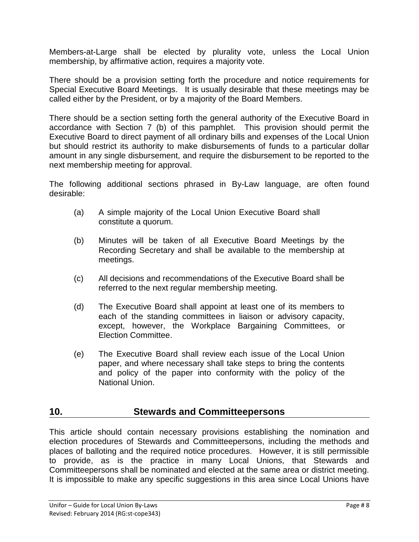Members-at-Large shall be elected by plurality vote, unless the Local Union membership, by affirmative action, requires a majority vote.

There should be a provision setting forth the procedure and notice requirements for Special Executive Board Meetings. It is usually desirable that these meetings may be called either by the President, or by a majority of the Board Members.

There should be a section setting forth the general authority of the Executive Board in accordance with Section 7 (b) of this pamphlet. This provision should permit the Executive Board to direct payment of all ordinary bills and expenses of the Local Union but should restrict its authority to make disbursements of funds to a particular dollar amount in any single disbursement, and require the disbursement to be reported to the next membership meeting for approval.

The following additional sections phrased in By-Law language, are often found desirable:

- (a) A simple majority of the Local Union Executive Board shall constitute a quorum.
- (b) Minutes will be taken of all Executive Board Meetings by the Recording Secretary and shall be available to the membership at meetings.
- (c) All decisions and recommendations of the Executive Board shall be referred to the next regular membership meeting.
- (d) The Executive Board shall appoint at least one of its members to each of the standing committees in liaison or advisory capacity, except, however, the Workplace Bargaining Committees, or Election Committee.
- (e) The Executive Board shall review each issue of the Local Union paper, and where necessary shall take steps to bring the contents and policy of the paper into conformity with the policy of the National Union.

#### **10. Stewards and Committeepersons**

This article should contain necessary provisions establishing the nomination and election procedures of Stewards and Committeepersons, including the methods and places of balloting and the required notice procedures. However, it is still permissible to provide, as is the practice in many Local Unions, that Stewards and Committeepersons shall be nominated and elected at the same area or district meeting. It is impossible to make any specific suggestions in this area since Local Unions have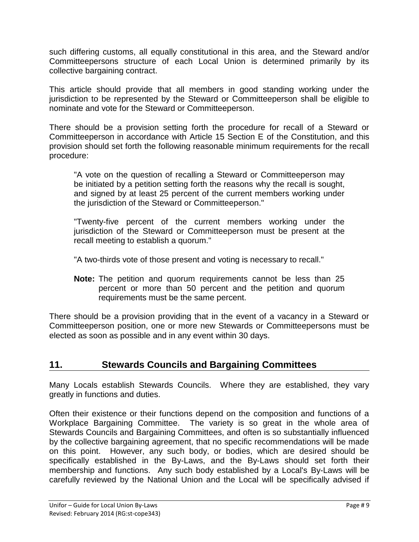such differing customs, all equally constitutional in this area, and the Steward and/or Committeepersons structure of each Local Union is determined primarily by its collective bargaining contract.

This article should provide that all members in good standing working under the jurisdiction to be represented by the Steward or Committeeperson shall be eligible to nominate and vote for the Steward or Committeeperson.

There should be a provision setting forth the procedure for recall of a Steward or Committeeperson in accordance with Article 15 Section E of the Constitution, and this provision should set forth the following reasonable minimum requirements for the recall procedure:

"A vote on the question of recalling a Steward or Committeeperson may be initiated by a petition setting forth the reasons why the recall is sought, and signed by at least 25 percent of the current members working under the jurisdiction of the Steward or Committeeperson."

"Twenty-five percent of the current members working under the jurisdiction of the Steward or Committeeperson must be present at the recall meeting to establish a quorum."

"A two-thirds vote of those present and voting is necessary to recall."

**Note:** The petition and quorum requirements cannot be less than 25 percent or more than 50 percent and the petition and quorum requirements must be the same percent.

There should be a provision providing that in the event of a vacancy in a Steward or Committeeperson position, one or more new Stewards or Committeepersons must be elected as soon as possible and in any event within 30 days.

#### **11. Stewards Councils and Bargaining Committees**

Many Locals establish Stewards Councils. Where they are established, they vary greatly in functions and duties.

Often their existence or their functions depend on the composition and functions of a Workplace Bargaining Committee. The variety is so great in the whole area of Stewards Councils and Bargaining Committees, and often is so substantially influenced by the collective bargaining agreement, that no specific recommendations will be made on this point. However, any such body, or bodies, which are desired should be specifically established in the By-Laws, and the By-Laws should set forth their membership and functions. Any such body established by a Local's By-Laws will be carefully reviewed by the National Union and the Local will be specifically advised if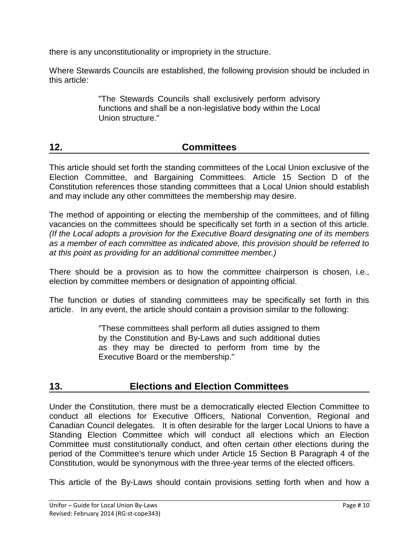there is any unconstitutionality or impropriety in the structure.

Where Stewards Councils are established, the following provision should be included in this article:

> "The Stewards Councils shall exclusively perform advisory functions and shall be a non-legislative body within the Local Union structure."

#### **12. Committees**

This article should set forth the standing committees of the Local Union exclusive of the Election Committee, and Bargaining Committees. Article 15 Section D of the Constitution references those standing committees that a Local Union should establish and may include any other committees the membership may desire.

The method of appointing or electing the membership of the committees, and of filling vacancies on the committees should be specifically set forth in a section of this article. *(If the Local adopts a provision for the Executive Board designating one of its members as a member of each committee as indicated above, this provision should be referred to at this point as providing for an additional committee member.)*

There should be a provision as to how the committee chairperson is chosen, i.e., election by committee members or designation of appointing official.

The function or duties of standing committees may be specifically set forth in this article. In any event, the article should contain a provision similar to the following:

> "These committees shall perform all duties assigned to them by the Constitution and By-Laws and such additional duties as they may be directed to perform from time by the Executive Board or the membership."

#### **13. Elections and Election Committees**

Under the Constitution, there must be a democratically elected Election Committee to conduct all elections for Executive Officers, National Convention, Regional and Canadian Council delegates. It is often desirable for the larger Local Unions to have a Standing Election Committee which will conduct all elections which an Election Committee must constitutionally conduct, and often certain other elections during the period of the Committee's tenure which under Article 15 Section B Paragraph 4 of the Constitution, would be synonymous with the three-year terms of the elected officers.

This article of the By-Laws should contain provisions setting forth when and how a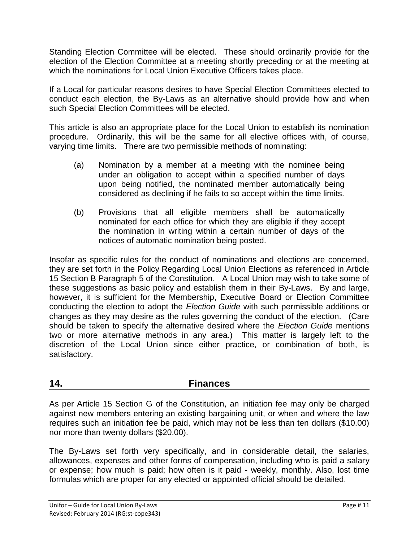Standing Election Committee will be elected. These should ordinarily provide for the election of the Election Committee at a meeting shortly preceding or at the meeting at which the nominations for Local Union Executive Officers takes place.

If a Local for particular reasons desires to have Special Election Committees elected to conduct each election, the By-Laws as an alternative should provide how and when such Special Election Committees will be elected.

This article is also an appropriate place for the Local Union to establish its nomination procedure. Ordinarily, this will be the same for all elective offices with, of course, varying time limits. There are two permissible methods of nominating:

- (a) Nomination by a member at a meeting with the nominee being under an obligation to accept within a specified number of days upon being notified, the nominated member automatically being considered as declining if he fails to so accept within the time limits.
- (b) Provisions that all eligible members shall be automatically nominated for each office for which they are eligible if they accept the nomination in writing within a certain number of days of the notices of automatic nomination being posted.

Insofar as specific rules for the conduct of nominations and elections are concerned, they are set forth in the Policy Regarding Local Union Elections as referenced in Article 15 Section B Paragraph 5 of the Constitution. A Local Union may wish to take some of these suggestions as basic policy and establish them in their By-Laws. By and large, however, it is sufficient for the Membership, Executive Board or Election Committee conducting the election to adopt the *Election Guide* with such permissible additions or changes as they may desire as the rules governing the conduct of the election. (Care should be taken to specify the alternative desired where the *Election Guide* mentions two or more alternative methods in any area.) This matter is largely left to the discretion of the Local Union since either practice, or combination of both, is satisfactory.

#### **14. Finances**

As per Article 15 Section G of the Constitution, an initiation fee may only be charged against new members entering an existing bargaining unit, or when and where the law requires such an initiation fee be paid, which may not be less than ten dollars (\$10.00) nor more than twenty dollars (\$20.00).

The By-Laws set forth very specifically, and in considerable detail, the salaries, allowances, expenses and other forms of compensation, including who is paid a salary or expense; how much is paid; how often is it paid - weekly, monthly. Also, lost time formulas which are proper for any elected or appointed official should be detailed.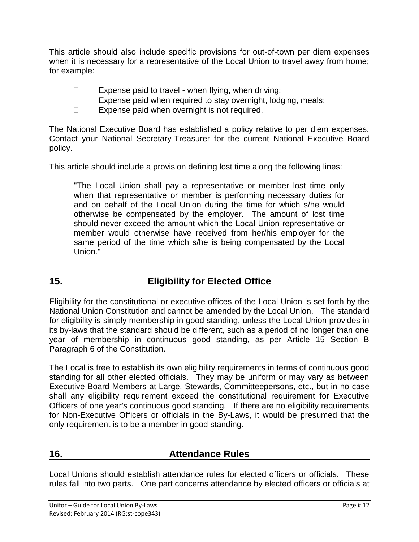This article should also include specific provisions for out-of-town per diem expenses when it is necessary for a representative of the Local Union to travel away from home: for example:

- $\Box$  Expense paid to travel when flying, when driving;
- $\Box$  Expense paid when required to stay overnight, lodging, meals;
- $\Box$  Expense paid when overnight is not required.

The National Executive Board has established a policy relative to per diem expenses. Contact your National Secretary-Treasurer for the current National Executive Board policy.

This article should include a provision defining lost time along the following lines:

"The Local Union shall pay a representative or member lost time only when that representative or member is performing necessary duties for and on behalf of the Local Union during the time for which s/he would otherwise be compensated by the employer. The amount of lost time should never exceed the amount which the Local Union representative or member would otherwise have received from her/his employer for the same period of the time which s/he is being compensated by the Local Union."

### **15. Eligibility for Elected Office**

Eligibility for the constitutional or executive offices of the Local Union is set forth by the National Union Constitution and cannot be amended by the Local Union. The standard for eligibility is simply membership in good standing, unless the Local Union provides in its by-laws that the standard should be different, such as a period of no longer than one year of membership in continuous good standing, as per Article 15 Section B Paragraph 6 of the Constitution.

The Local is free to establish its own eligibility requirements in terms of continuous good standing for all other elected officials. They may be uniform or may vary as between Executive Board Members-at-Large, Stewards, Committeepersons, etc., but in no case shall any eligibility requirement exceed the constitutional requirement for Executive Officers of one year's continuous good standing. If there are no eligibility requirements for Non-Executive Officers or officials in the By-Laws, it would be presumed that the only requirement is to be a member in good standing.

#### **16. Attendance Rules**

Local Unions should establish attendance rules for elected officers or officials. These rules fall into two parts. One part concerns attendance by elected officers or officials at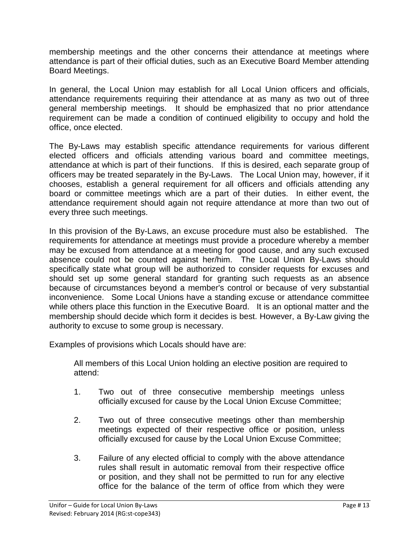membership meetings and the other concerns their attendance at meetings where attendance is part of their official duties, such as an Executive Board Member attending Board Meetings.

In general, the Local Union may establish for all Local Union officers and officials, attendance requirements requiring their attendance at as many as two out of three general membership meetings. It should be emphasized that no prior attendance requirement can be made a condition of continued eligibility to occupy and hold the office, once elected.

The By-Laws may establish specific attendance requirements for various different elected officers and officials attending various board and committee meetings, attendance at which is part of their functions. If this is desired, each separate group of officers may be treated separately in the By-Laws. The Local Union may, however, if it chooses, establish a general requirement for all officers and officials attending any board or committee meetings which are a part of their duties. In either event, the attendance requirement should again not require attendance at more than two out of every three such meetings.

In this provision of the By-Laws, an excuse procedure must also be established. The requirements for attendance at meetings must provide a procedure whereby a member may be excused from attendance at a meeting for good cause, and any such excused absence could not be counted against her/him. The Local Union By-Laws should specifically state what group will be authorized to consider requests for excuses and should set up some general standard for granting such requests as an absence because of circumstances beyond a member's control or because of very substantial inconvenience. Some Local Unions have a standing excuse or attendance committee while others place this function in the Executive Board. It is an optional matter and the membership should decide which form it decides is best. However, a By-Law giving the authority to excuse to some group is necessary.

Examples of provisions which Locals should have are:

All members of this Local Union holding an elective position are required to attend:

- 1. Two out of three consecutive membership meetings unless officially excused for cause by the Local Union Excuse Committee;
- 2. Two out of three consecutive meetings other than membership meetings expected of their respective office or position, unless officially excused for cause by the Local Union Excuse Committee;
- 3. Failure of any elected official to comply with the above attendance rules shall result in automatic removal from their respective office or position, and they shall not be permitted to run for any elective office for the balance of the term of office from which they were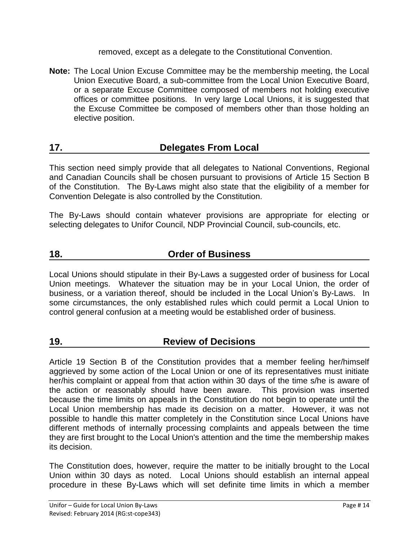removed, except as a delegate to the Constitutional Convention.

**Note:** The Local Union Excuse Committee may be the membership meeting, the Local Union Executive Board, a sub-committee from the Local Union Executive Board, or a separate Excuse Committee composed of members not holding executive offices or committee positions. In very large Local Unions, it is suggested that the Excuse Committee be composed of members other than those holding an elective position.

#### **17. Delegates From Local**

This section need simply provide that all delegates to National Conventions, Regional and Canadian Councils shall be chosen pursuant to provisions of Article 15 Section B of the Constitution. The By-Laws might also state that the eligibility of a member for Convention Delegate is also controlled by the Constitution.

The By-Laws should contain whatever provisions are appropriate for electing or selecting delegates to Unifor Council, NDP Provincial Council, sub-councils, etc.

#### **18. Order of Business**

Local Unions should stipulate in their By-Laws a suggested order of business for Local Union meetings. Whatever the situation may be in your Local Union, the order of business, or a variation thereof, should be included in the Local Union's By-Laws. In some circumstances, the only established rules which could permit a Local Union to control general confusion at a meeting would be established order of business.

#### **19. Review of Decisions**

Article 19 Section B of the Constitution provides that a member feeling her/himself aggrieved by some action of the Local Union or one of its representatives must initiate her/his complaint or appeal from that action within 30 days of the time s/he is aware of the action or reasonably should have been aware. This provision was inserted because the time limits on appeals in the Constitution do not begin to operate until the Local Union membership has made its decision on a matter. However, it was not possible to handle this matter completely in the Constitution since Local Unions have different methods of internally processing complaints and appeals between the time they are first brought to the Local Union's attention and the time the membership makes its decision.

The Constitution does, however, require the matter to be initially brought to the Local Union within 30 days as noted. Local Unions should establish an internal appeal procedure in these By-Laws which will set definite time limits in which a member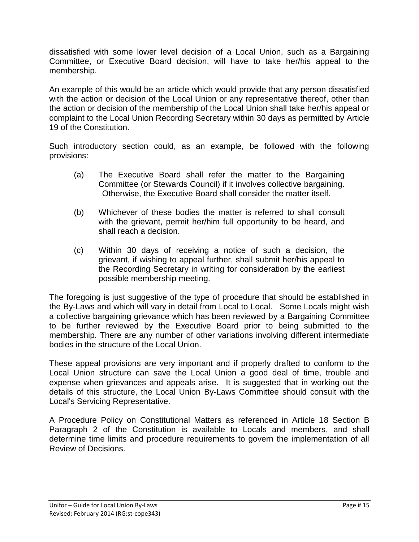dissatisfied with some lower level decision of a Local Union, such as a Bargaining Committee, or Executive Board decision, will have to take her/his appeal to the membership.

An example of this would be an article which would provide that any person dissatisfied with the action or decision of the Local Union or any representative thereof, other than the action or decision of the membership of the Local Union shall take her/his appeal or complaint to the Local Union Recording Secretary within 30 days as permitted by Article 19 of the Constitution.

Such introductory section could, as an example, be followed with the following provisions:

- (a) The Executive Board shall refer the matter to the Bargaining Committee (or Stewards Council) if it involves collective bargaining. Otherwise, the Executive Board shall consider the matter itself.
- (b) Whichever of these bodies the matter is referred to shall consult with the grievant, permit her/him full opportunity to be heard, and shall reach a decision.
- (c) Within 30 days of receiving a notice of such a decision, the grievant, if wishing to appeal further, shall submit her/his appeal to the Recording Secretary in writing for consideration by the earliest possible membership meeting.

The foregoing is just suggestive of the type of procedure that should be established in the By-Laws and which will vary in detail from Local to Local. Some Locals might wish a collective bargaining grievance which has been reviewed by a Bargaining Committee to be further reviewed by the Executive Board prior to being submitted to the membership. There are any number of other variations involving different intermediate bodies in the structure of the Local Union.

These appeal provisions are very important and if properly drafted to conform to the Local Union structure can save the Local Union a good deal of time, trouble and expense when grievances and appeals arise. It is suggested that in working out the details of this structure, the Local Union By-Laws Committee should consult with the Local's Servicing Representative.

A Procedure Policy on Constitutional Matters as referenced in Article 18 Section B Paragraph 2 of the Constitution is available to Locals and members, and shall determine time limits and procedure requirements to govern the implementation of all Review of Decisions.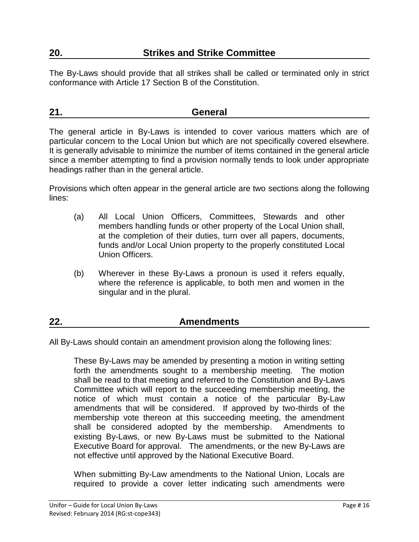The By-Laws should provide that all strikes shall be called or terminated only in strict conformance with Article 17 Section B of the Constitution.

#### **21. General**

The general article in By-Laws is intended to cover various matters which are of particular concern to the Local Union but which are not specifically covered elsewhere. It is generally advisable to minimize the number of items contained in the general article since a member attempting to find a provision normally tends to look under appropriate headings rather than in the general article.

Provisions which often appear in the general article are two sections along the following lines:

- (a) All Local Union Officers, Committees, Stewards and other members handling funds or other property of the Local Union shall, at the completion of their duties, turn over all papers, documents, funds and/or Local Union property to the properly constituted Local Union Officers.
- (b) Wherever in these By-Laws a pronoun is used it refers equally, where the reference is applicable, to both men and women in the singular and in the plural.

#### **22. Amendments**

All By-Laws should contain an amendment provision along the following lines:

These By-Laws may be amended by presenting a motion in writing setting forth the amendments sought to a membership meeting. The motion shall be read to that meeting and referred to the Constitution and By-Laws Committee which will report to the succeeding membership meeting, the notice of which must contain a notice of the particular By-Law amendments that will be considered. If approved by two-thirds of the membership vote thereon at this succeeding meeting, the amendment shall be considered adopted by the membership. Amendments to existing By-Laws, or new By-Laws must be submitted to the National Executive Board for approval. The amendments, or the new By-Laws are not effective until approved by the National Executive Board.

When submitting By-Law amendments to the National Union, Locals are required to provide a cover letter indicating such amendments were